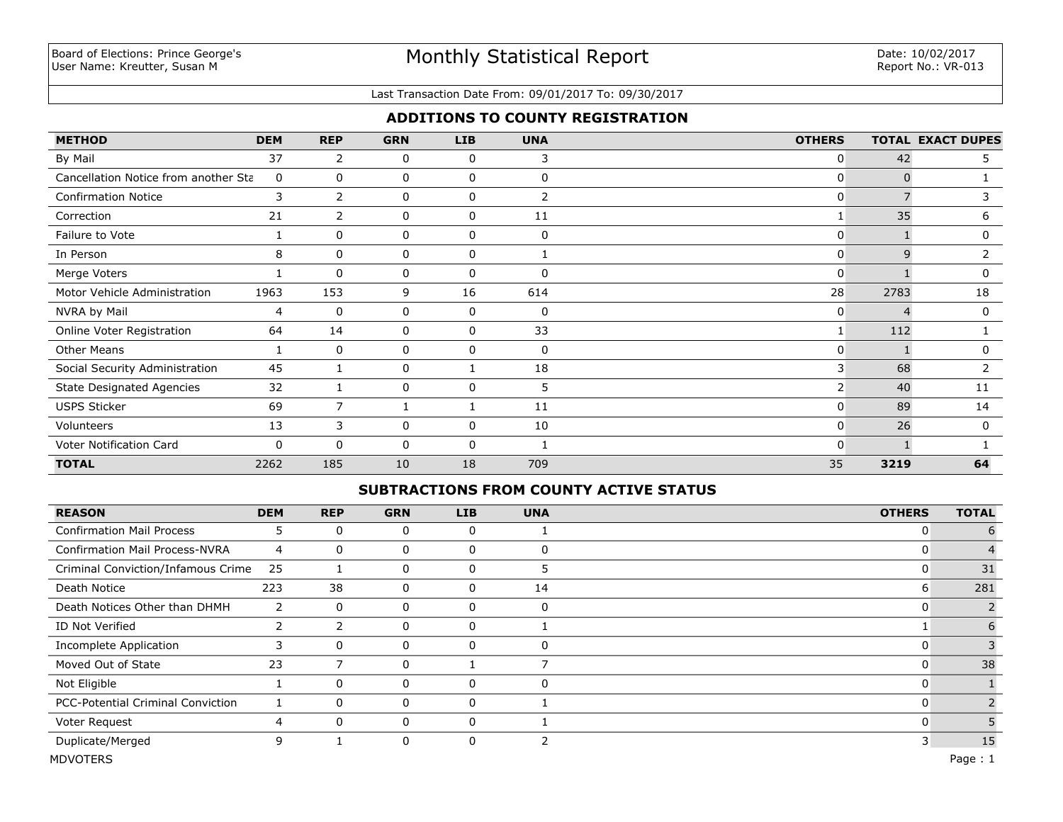### Last Transaction Date From: 09/01/2017 To: 09/30/2017

## **ADDITIONS TO COUNTY REGISTRATION**

| <b>METHOD</b>                        | <b>DEM</b> | <b>REP</b>     | <b>GRN</b> | <b>LIB</b>   | <b>UNA</b>  | <b>OTHERS</b>  |              | <b>TOTAL EXACT DUPES</b> |
|--------------------------------------|------------|----------------|------------|--------------|-------------|----------------|--------------|--------------------------|
| By Mail                              | 37         | 2              | 0          | 0            | 3           | $\overline{0}$ | 42           | 5.                       |
| Cancellation Notice from another Sta | 0          | 0              | 0          | 0            | 0           | $\mathbf{0}$   | $\Omega$     |                          |
| <b>Confirmation Notice</b>           | 3          | 2              | 0          | $\mathbf{0}$ | 2           | $\mathbf{0}$   |              | 3                        |
| Correction                           | 21         | $\overline{2}$ | 0          | 0            | 11          |                | 35           | 6                        |
| Failure to Vote                      |            | $\Omega$       | 0          | 0            | $\mathbf 0$ | $\mathbf{0}$   |              | 0                        |
| In Person                            | 8          | $\mathbf{0}$   | 0          | 0            |             | $\overline{0}$ | $\mathsf{q}$ |                          |
| Merge Voters                         |            | $\Omega$       | 0          | 0            | $\Omega$    | $\overline{0}$ |              | 0                        |
| Motor Vehicle Administration         | 1963       | 153            | 9          | 16           | 614         | 28             | 2783         | 18                       |
| NVRA by Mail                         | 4          | $\mathbf 0$    | 0          | 0            | 0           | $\mathbf{0}$   |              | 0                        |
| Online Voter Registration            | 64         | 14             | 0          | 0            | 33          |                | 112          |                          |
| <b>Other Means</b>                   |            | 0              | 0          | 0            | 0           | $\mathbf{0}$   |              | 0                        |
| Social Security Administration       | 45         |                | 0          |              | 18          | 3              | 68           | 2                        |
| <b>State Designated Agencies</b>     | 32         |                | 0          | 0            | 5           | 2 <sup>1</sup> | 40           | 11                       |
| <b>USPS Sticker</b>                  | 69         | $\overline{7}$ |            |              | 11          | $\mathbf{0}$   | 89           | 14                       |
| Volunteers                           | 13         | 3              | 0          | 0            | 10          | 0              | 26           | $\mathbf 0$              |
| Voter Notification Card              | 0          | $\mathbf{0}$   | 0          | $\mathbf{0}$ |             | $\Omega$       |              |                          |
| <b>TOTAL</b>                         | 2262       | 185            | 10         | 18           | 709         | 35             | 3219         | 64                       |

## **SUBTRACTIONS FROM COUNTY ACTIVE STATUS**

| <b>REASON</b>                            | <b>DEM</b>     | <b>REP</b> | <b>GRN</b> | <b>LIB</b> | <b>UNA</b>   | <b>OTHERS</b> | <b>TOTAL</b> |
|------------------------------------------|----------------|------------|------------|------------|--------------|---------------|--------------|
| <b>Confirmation Mail Process</b>         | ∍              | $\Omega$   | 0          | 0          |              | O             | 6            |
| <b>Confirmation Mail Process-NVRA</b>    | $\overline{4}$ | 0          | 0          | 0          |              |               |              |
| Criminal Conviction/Infamous Crime       | 25             |            | 0          | 0          |              |               | 31           |
| Death Notice                             | 223            | 38         | 0          | 0          | 14           | 6             | 281          |
| Death Notices Other than DHMH            | 2              | 0          | 0          | 0          | 0            |               |              |
| ID Not Verified                          | $\overline{2}$ | 2          | 0          | 0          |              |               | 6            |
| <b>Incomplete Application</b>            | 3              | $\Omega$   | 0          | 0          | <sup>-</sup> |               |              |
| Moved Out of State                       | 23             |            | 0          |            |              |               | 38           |
| Not Eligible                             |                | $\Omega$   | 0          | 0          | $\Omega$     |               |              |
| <b>PCC-Potential Criminal Conviction</b> |                | $\Omega$   | 0          | 0          |              |               |              |
| Voter Request                            | 4              | $\Omega$   | 0          | 0          |              |               |              |
| Duplicate/Merged                         | 9              |            | 0          | 0          |              | 3             | 15           |
| <b>MDVOTERS</b>                          |                |            |            |            |              |               | Page: $1$    |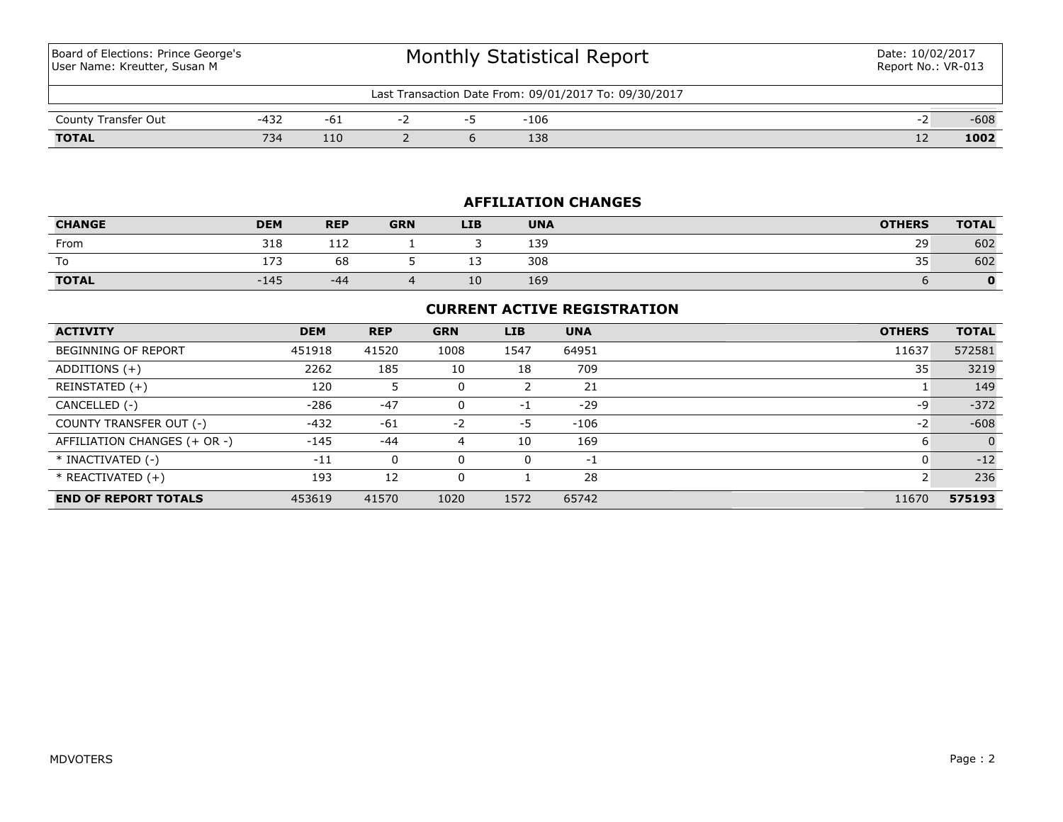Board of Elections: Prince George's User Name: Kreutter, Susan M

| Last Transaction Date From: 09/01/2017 To: 09/30/2017 |        |     |  |  |        |  |        |  |  |
|-------------------------------------------------------|--------|-----|--|--|--------|--|--------|--|--|
| County Transfer Out                                   | $-432$ | -6⊥ |  |  | $-106$ |  | $-608$ |  |  |
| <b>TOTAL</b>                                          | 734    | 110 |  |  | 138    |  | 1002   |  |  |

# **AFFILIATION CHANGES**

| <b>CHANGE</b> | <b>DEM</b> | <b>REP</b>           | <b>GRN</b> | <b>LIB</b> | <b>UNA</b> | <b>OTHERS</b> | <b>TOTAL</b> |
|---------------|------------|----------------------|------------|------------|------------|---------------|--------------|
| From          | 318        | $\rightarrow$<br>ᆠᆠᄼ |            |            | 139        | 29            | 602          |
| To            | . – –      | 68                   |            | --         | 308        | 35            | 602          |
| <b>TOTAL</b>  | $-145$     | -44                  |            | 10         | 169        |               | 0            |

## **CURRENT ACTIVE REGISTRATION**

| <b>ACTIVITY</b>              | <b>DEM</b> | <b>REP</b> | <b>GRN</b> | <b>LIB</b> | <b>UNA</b> | <b>OTHERS</b> | <b>TOTAL</b> |
|------------------------------|------------|------------|------------|------------|------------|---------------|--------------|
| <b>BEGINNING OF REPORT</b>   | 451918     | 41520      | 1008       | 1547       | 64951      | 11637         | 572581       |
| ADDITIONS (+)                | 2262       | 185        | 10         | 18         | 709        | 35            | 3219         |
| REINSTATED (+)               | 120        |            | 0          |            | 21         |               | 149          |
| CANCELLED (-)                | $-286$     | $-47$      | 0          | $-1$       | $-29$      | -9            | $-372$       |
| COUNTY TRANSFER OUT (-)      | $-432$     | $-61$      | $-2$       | -5         | $-106$     | $-2$          | $-608$       |
| AFFILIATION CHANGES (+ OR -) | $-145$     | $-44$      | 4          | 10         | 169        | 6             | $\Omega$     |
| * INACTIVATED (-)            | $-11$      | 0          | 0          | 0          | -1         | υ             | $-12$        |
| $*$ REACTIVATED $(+)$        | 193        | 12         | 0          |            | 28         |               | 236          |
| <b>END OF REPORT TOTALS</b>  | 453619     | 41570      | 1020       | 1572       | 65742      | 11670         | 575193       |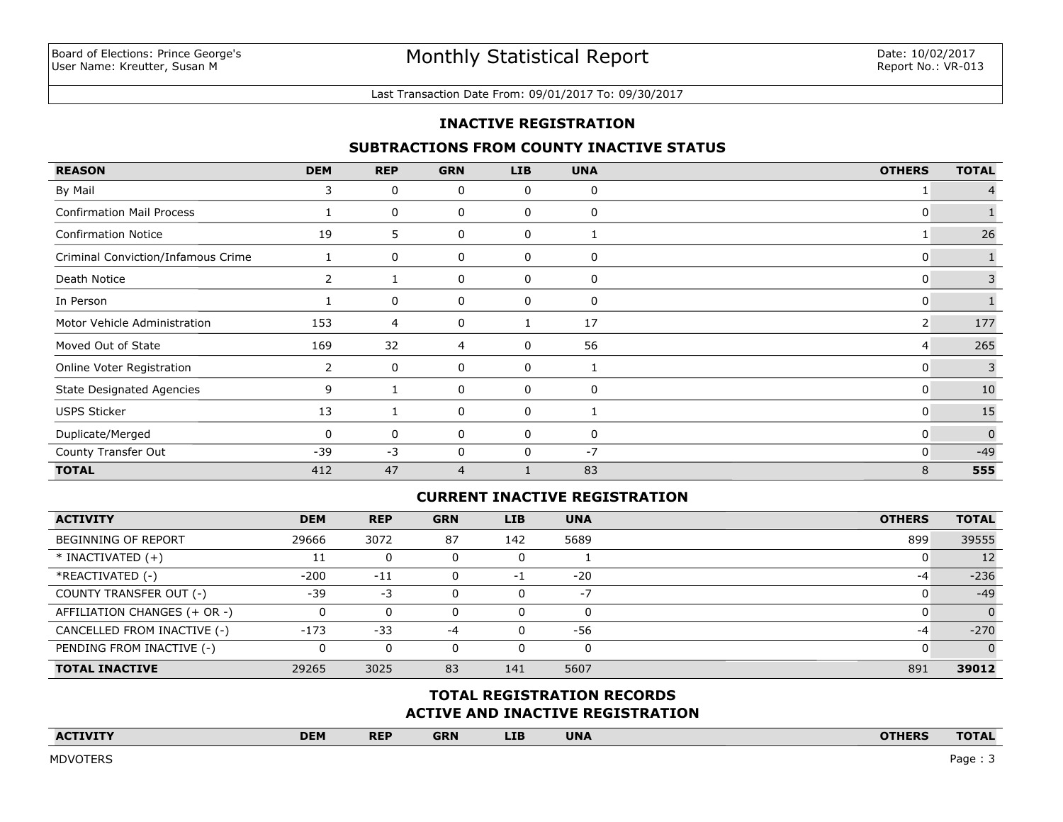#### Last Transaction Date From: 09/01/2017 To: 09/30/2017

## **INACTIVE REGISTRATION**

### **SUBTRACTIONS FROM COUNTY INACTIVE STATUS**

| <b>REASON</b>                      | <b>DEM</b> | <b>REP</b> | <b>GRN</b>     | <b>LIB</b> | <b>UNA</b> | <b>OTHERS</b> | <b>TOTAL</b> |
|------------------------------------|------------|------------|----------------|------------|------------|---------------|--------------|
| By Mail                            | 3          | 0          | 0              | 0          | 0          |               |              |
| <b>Confirmation Mail Process</b>   |            | 0          | 0              | 0          | 0          | 0             |              |
| <b>Confirmation Notice</b>         | 19         | 5.         | 0              | 0          |            |               | 26           |
| Criminal Conviction/Infamous Crime |            | 0          | 0              | 0          | 0          | 0             |              |
| Death Notice                       |            |            | 0              | 0          | 0          | 0             | 3            |
| In Person                          |            | 0          | 0              | 0          | 0          | 0             |              |
| Motor Vehicle Administration       | 153        | 4          | 0              |            | 17         | 2             | 177          |
| Moved Out of State                 | 169        | 32         | $\overline{4}$ | 0          | 56         | 4             | 265          |
| Online Voter Registration          | 2          | 0          | 0              | 0          | 1          | 0             | 3            |
| <b>State Designated Agencies</b>   | 9          |            | 0              | 0          | 0          | 0             | 10           |
| <b>USPS Sticker</b>                | 13         |            | 0              | 0          |            | 0             | 15           |
| Duplicate/Merged                   | 0          | 0          | 0              | 0          | 0          | 0             | $\mathbf{0}$ |
| County Transfer Out                | $-39$      | $-3$       | 0              | 0          | $-7$       | 0             | $-49$        |
| <b>TOTAL</b>                       | 412        | 47         | $\overline{4}$ |            | 83         | 8             | 555          |

## **CURRENT INACTIVE REGISTRATION**

| <b>ACTIVITY</b>              | <b>DEM</b> | <b>REP</b> | <b>GRN</b> | <b>LIB</b> | <b>UNA</b> | <b>OTHERS</b> | <b>TOTAL</b> |
|------------------------------|------------|------------|------------|------------|------------|---------------|--------------|
| <b>BEGINNING OF REPORT</b>   | 29666      | 3072       | 87         | 142        | 5689       | 899           | 39555        |
| $*$ INACTIVATED $(+)$        |            | 0          |            | υ          |            |               | 12           |
| *REACTIVATED (-)             | $-200$     | $-11$      |            | $-1$       | $-20$      | -4            | $-236$       |
| COUNTY TRANSFER OUT (-)      | $-39$      | -3         |            | $\Omega$   | $-7$       |               | $-49$        |
| AFFILIATION CHANGES (+ OR -) |            | 0          |            | 0          | 0          |               | $\Omega$     |
| CANCELLED FROM INACTIVE (-)  | $-173$     | $-33$      | -4         | $\Omega$   | -56        | -4            | $-270$       |
| PENDING FROM INACTIVE (-)    |            | 0          |            | 0          | 0          |               | $\Omega$     |
| <b>TOTAL INACTIVE</b>        | 29265      | 3025       | 83         | 141        | 5607       | 891           | 39012        |

# **ACTIVE AND INACTIVE REGISTRATION TOTAL REGISTRATION RECORDS**

| <b>ACTIVITY</b><br>the contract of the contract of the contract of the contract of the contract of | <b>DEM</b> | <b>REP</b> | <b>GRN</b> | <b>LIB</b> | <b>UNA</b> | <b>OTHERS</b> | <b>TOTAL</b> |
|----------------------------------------------------------------------------------------------------|------------|------------|------------|------------|------------|---------------|--------------|
|                                                                                                    |            |            |            |            |            |               |              |